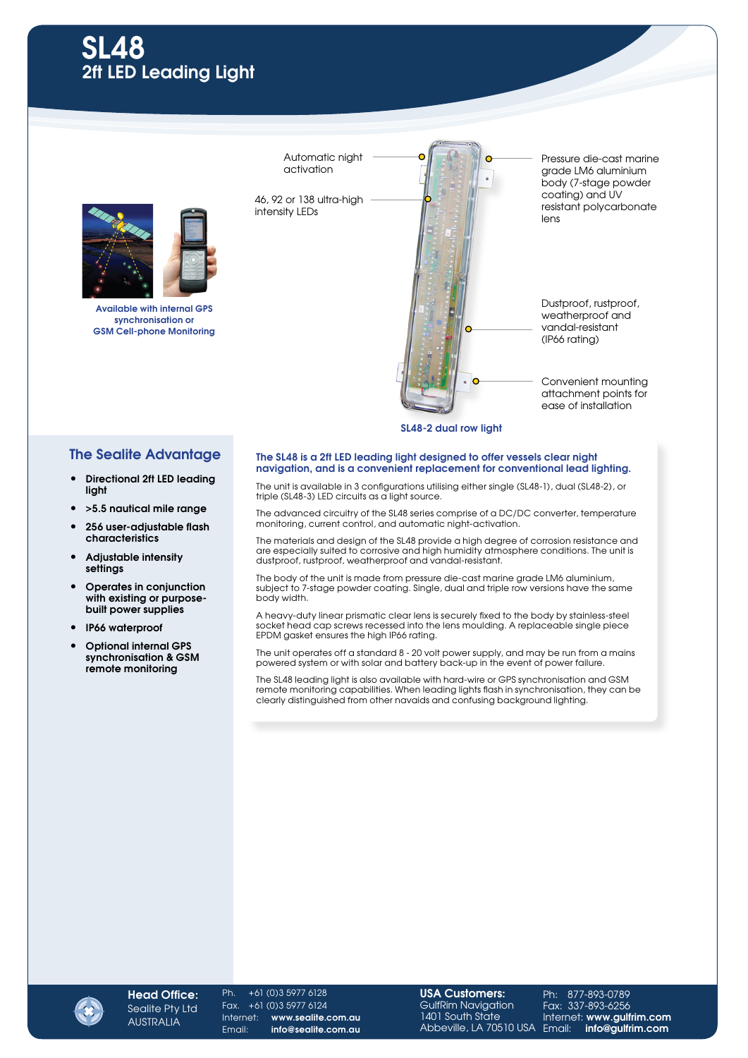

Available with internal GPS synchronisation or GSM Cell-phone Monitoring

Automatic night activation

46, 92 or 138 ultra-high intensity LEDs



attachment points for ease of installation

## SL48-2 dual row light

## The Sealite Advantage

- Directional 2ft LED leading light
- >5.5 nautical mile range
- 256 user-adjustable flash characteristics
- Adjustable intensity settings
- Operates in conjunction with existing or purposebuilt power supplies
- IP66 waterproof
- Optional internal GPS synchronisation & GSM remote monitoring

## The SL48 is a 2ft LED leading light designed to offer vessels clear night navigation, and is a convenient replacement for conventional lead lighting.

The unit is available in 3 configurations utilising either single (SL48-1), dual (SL48-2), or triple (SL48-3) LED circuits as a light source.

The advanced circuitry of the SL48 series comprise of a DC/DC converter, temperature monitoring, current control, and automatic night-activation.

The materials and design of the SL48 provide a high degree of corrosion resistance and are especially suited to corrosive and high humidity atmosphere conditions. The unit is dustproof, rustproof, weatherproof and vandal-resistant.

The body of the unit is made from pressure die-cast marine grade LM6 aluminium, subject to 7-stage powder coating. Single, dual and triple row versions have the same body width.

A heavy-duty linear prismatic clear lens is securely fixed to the body by stainless-steel socket head cap screws recessed into the lens moulding. A replaceable single piece EPDM gasket ensures the high IP66 rating.

The unit operates off a standard 8 - 20 volt power supply, and may be run from a mains powered system or with solar and battery back-up in the event of power failure.

The SL48 leading light is also available with hard-wire or GPS synchronisation and GSM remote monitoring capabilities. When leading lights flash in synchronisation, they can be clearly distinguished from other navaids and confusing background lighting.



Ph. +61 (0)3 5977 6128 Fax. +61 (0)3 5977 6124 Internet: www.sealite.com.au Email: info@sealite.com.au

USA Customers: GulfRim Navigation 1401 South State Abbeville, LA 70510 USA

Ph: 877-893-0789 Fax: 337-893-6256 Internet: www.gulfrim.com Email: info@gulfrim.com